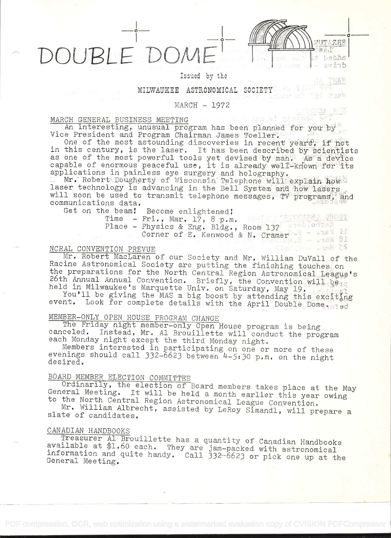

### Issued by the

# MILWAUKEE ASTRONOMICAL SOCIETY AND MANY

### MARCH - 1972

TEAN

MARCH GENERAL BUSINESS MEETING

An interesting, unusual program has been planned for you by Vice President and Program Chairman James Toeller.

One of the most astounding discoveries in recent years, if not in this century, is the laser. It has been described by scientists as one of the most powerful tools yet devised by man. As a device capable of enormous peaceful use, it is already well-known for its applications in painless eye surgery and holography.

 $\mathbb{R}$ . Mr. Robert Dougherty of Wisconsin Telephone will explain how  $\mathbb{R}$ laser technology is advancing in the Bell System and how lasers Laser becompless to duranting the measures of the programs, and communications data.

Get on the beam! Become enlightened!

Time - Fri., Mar. 17, 8 p.m. WEDDA STRUVERED SMUOX Place - Physics & Eng. Bldg., Room 137 2195100 Corner of E. Kenwood & N. Cramer  $25$   $M_{\odot}$   $-$ 

NCRAL CONVENTION PREVUE<br>Mr. Robert MacLaren of our Society and Mr. William DuVall of the Racine Astronomical Society are putting the finishing touches on the preparations for the North Central Region Astronomical League's 26th Annual Annual Convention. Briefly, the Convention will be held in Milwaukee's Marquette Univ. on Saturday, May 19.

You'll be giving the MAS a big boost by attending this exciting event. Look for complete details with the April Double Dome. and

# MEMBER-ONLY OPEN HOUSE PROGRAM CHANGE

The Friday night member-only Open House program is being<br>canceled. Instead, Mr. Al Brouillette will conduct the program

each Monday night except the third Monday night.<br>Members interested in participating on one or more of these<br>evenings should call 332-6623 between 4-5:30 p.m. on the night<br>desired.

BOARD MEMBER ELECTION COMMITTEE<br>Ordinarily, the election of Board members takes place at the May General Meeting. It will be held a month earlier this year owing<br>to the North Central Region Astronomical League Convention.

Mr. William Albrecht, assisted by LeRoy Simandl, will prepare a slate of candidates.

CANADIAN HANDBOOKS<br>Treasurer Al Brouillette has a quantity of Canadian Handbooks ITREASURE AL BROUILLETTE TREASURE AND HANDBOOKS available at \$1.60 each. They are jam-packed with astronomical<br>information and quite handy. Call 332-6623 or pick one up at the<br>General Meeting.